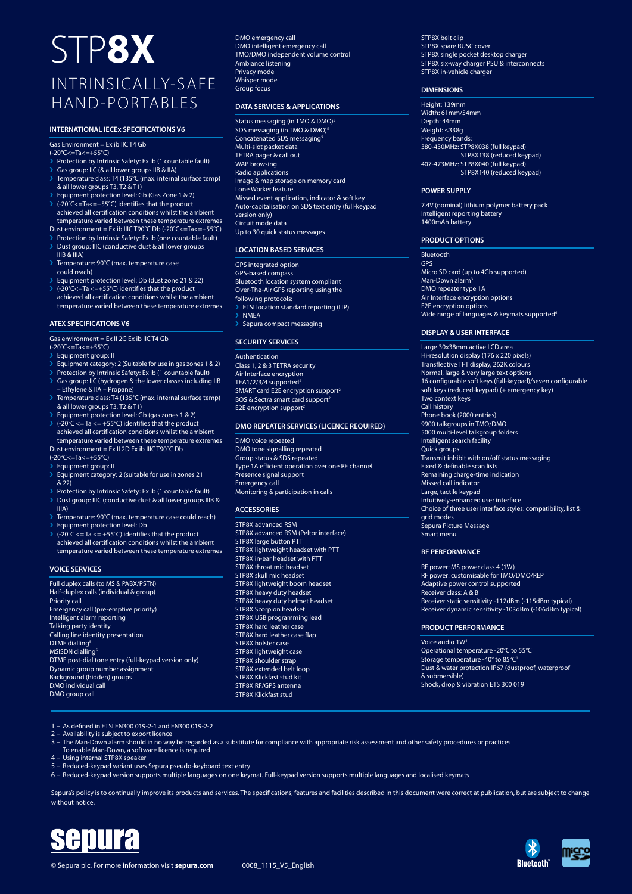## STP**8X** INTRINSICALLY-SAFE HAND-PORTABLES

#### **INTERNATIONAL IECEx SPECIFICATIONS V6**

 $Gas Fnvironment = Fx ib IIC T4 Gb$ 

(-20°C<=Ta<=+55°C)

- › Protection by Intrinsic Safety: Ex ib (1 countable fault)
- › Gas group: IIC (& all lower groups IIB & IIA) Temperature class: T4 (135°C (max. internal surface temp)
- & all lower groups T3, T2 & T1) › Equipment protection level: Gb (Gas Zone 1 & 2)
- $\triangleright$  (-20 $\degree$ C<=Ta<=+55 $\degree$ C) identifies that the product achieved all certification conditions whilst the ambient temperature varied between these temperature extremes
- Dust environment = Ex ib IIIC T90°C Db (-20°C<=Ta<=+55°C)
- Protection by Intrinsic Safety: Ex ib (one countable fault) > Dust group: IIIC (conductive dust & all lower groups
- IIIB & IIIA) › Temperature: 90°C (max. temperature case
- could reach)
- › Equipment protection level: Db (dust zone 21 & 22)  $\triangleright$  (-20°C <= Ta < = +55°C) identifies that the product
- achieved all certification conditions whilst the ambient temperature varied between these temperature extremes

#### **ATEX SPECIFICATIONS V6**

Gas environment = Ex II 2G Ex ib IIC T4 Gb

- (-20°C<=Ta<=+55°C)
- › Equipment group: II
- Equipment category: 2 (Suitable for use in gas zones 1 & 2) Protection by Intrinsic Safety: Ex ib (1 countable fault)
- › Gas group: IIC (hydrogen & the lower classes including IIB – Ethylene & IIA – Propane)
- > Temperature class: T4 (135°C (max. internal surface temp)
- & all lower groups T3, T2 & T1) › Equipment protection level: Gb (gas zones 1 & 2)
- $\triangleright$  (-20°C <= Ta <= +55°C) identifies that the product achieved all certification conditions whilst the ambient temperature varied between these temperature extremes
- Dust environment = Ex II 2D Ex ib IIIC T90°C Db

(-20°C<=Ta<=+55°C)

- **Equipment group: II**
- Equipment category: 2 (suitable for use in zones 21 & 22)
- Protection by Intrinsic Safety: Ex ib (1 countable fault)
- › Dust group: IIIC (conductive dust & all lower groups IIIB & IIIA)
- > Temperature: 90°C (max. temperature case could reach)
- › Equipment protection level: Db
- $(-20^{\circ}C \leq Ta \leq +55^{\circ}C)$  identifies that the product achieved all certification conditions whilst the ambient temperature varied between these temperature extremes

#### **VOICE SERVICES**

Full duplex calls (to MS & PABX/PSTN) Half-duplex calls (individual & group) Priority call Emergency call (pre-emptive priority) Intelligent alarm reporting Talking party identity Calling line identity presentation DTMF dialling<sup>5</sup> MSISDN dialling<sup>5</sup> DTMF post-dial tone entry (full-keypad version only) Dynamic group number assignment Background (hidden) groups DMO individual call DMO group call

DMO emergency call DMO intelligent emergency call TMO/DMO independent volume control Ambiance listening Privacy mode Whisper mode Group focus

#### **DATA SERVICES & APPLICATIONS**

Status messaging (in TMO & DMO)<sup>5</sup> SDS messaging (in TMO & DMO)<sup>5</sup> Concatenated SDS messaging Multi-slot packet data TETRA pager & call out WAP browsing Radio applications Image & map storage on memory card Lone Worker feature Missed event application, indicator & soft key Auto-capitalisation on SDS text entry (full-keypad version only) Circuit mode data Up to 30 quick status messages

#### **LOCATION BASED SERVICES**

GPS integrated option GPS-based compass Bluetooth location system compliant Over-The-Air GPS reporting using the following protocols: **ETSI** location standard reporting (LIP) **NMEA** Sepura compact messaging

#### **SECURITY SERVICES**

Authentication Class 1, 2 & 3 TETRA security Air Interface encryption<br>TEA1/2/3/4 supported<sup>2</sup> SMART card E2E encryption support<sup>2</sup> BOS & Sectra smart card support<sup>2</sup> E2E encryption support $2$ 

#### **DMO REPEATER SERVICES (LICENCE REQUIRED)**

DMO voice repeated DMO tone signalling repeated Group status & SDS repeated Type 1A efficient operation over one RF channel Presence signal support Emergency call Monitoring & participation in calls

#### **ACCESSORIES**

STP8X advanced RSM STP8X advanced RSM (Peltor interface) STP8X large button PTT STP8X lightweight headset with PTT STP8X in-ear headset with PTT STP8X throat mic headset STP8X skull mic headset STP8X lightweight boom headset STP8X heavy duty headset STP8X heavy duty helmet headset STP8X Scorpion headset STP8X USB programming lead STP8X hard leather case STP8X hard leather case flap STP8X holster case STP8X lightweight case STP8X shoulder strap STP8X extended belt loop STP8X Klickfast stud kit STP8X RF/GPS antenna STP8X Klickfast stud

STP8X belt clip STP8X spare RUSC cover STP8X single pocket desktop charger STP8X six-way charger PSU & interconnects STP8X in-vehicle charger

#### **DIMENSIONS**

Height: 139mm Width: 61mm/54mm Depth: 44mm Weight: ≤338g Frequency bands: 380-430MHz: STP8X038 (full keypad) STP8X138 (reduced keypad) 407-473MHz: STP8X040 (full keypad) STP8X140 (reduced keypad)

#### **POWER SUPPLY**

7.4V (nominal) lithium polymer battery pack Intelligent reporting battery 1400mAh battery

#### **PRODUCT OPTIONS**

Bluetooth

GPS Micro SD card (up to 4Gb supported) Man-Down alarm<sup>3</sup> DMO repeater type 1A Air Interface encryption options E2E encryption options Wide range of languages & keymats supported<sup>6</sup>

#### **DISPLAY & USER INTERFACE**

Large 30x38mm active LCD area Hi-resolution display (176 x 220 pixels) Transflective TFT display, 262K colours Normal, large & very large text options 16 configurable soft keys (full-keypad)/seven configurable soft keys (reduced-keypad) (+ emergency key) Two context keys Call history Phone book (2000 entries) 9900 talkgroups in TMO/DMO 5000 multi-level talkgroup folders Intelligent search facility Quick groups Transmit inhibit with on/off status messaging Fixed & definable scan lists Remaining charge-time indication Missed call indicator Large, tactile keypad Intuitively-enhanced user interface Choice of three user interface styles: compatibility, list & grid modes <del>.</del><br>Sepura Picture Message Smart menu

#### **RF PERFORMANCE**

RF power: MS power class 4 (1W) RF power: customisable for TMO/DMO/REP Adaptive power control supported Receiver class: A & B Receiver static sensitivity -112dBm (-115dBm typical) Receiver dynamic sensitivity -103dBm (-106dBm typical)

#### **PRODUCT PERFORMANCE**

Voice audio 1W4 Operational temperature -20°C to 55°C Storage temperature -40° to 85°C1 Dust & water protection IP67 (dustproof, waterproof & submersible) Shock, drop & vibration ETS 300 019

1 – As defined in ETSI EN300 019-2-1 and EN300 019-2-2

- 
- 2 Availability is subject to export licence 3 The Man-Down alarm should in no way be regarded as a substitute for compliance with appropriate risk assessment and other safety procedures or practices
- To enable Man-Down, a software licence is required 4 Using internal STP8X speaker
- 
- 5 Reduced-keypad variant uses Sepura pseudo-keyboard text entry
- 6 Reduced-keypad version supports multiple languages on one keymat. Full-keypad version supports multiple languages and localised keymats

Sepura's policy is to continually improve its products and services. The specifications, features and facilities described in this document were correct at publication, but are subject to change without notice.



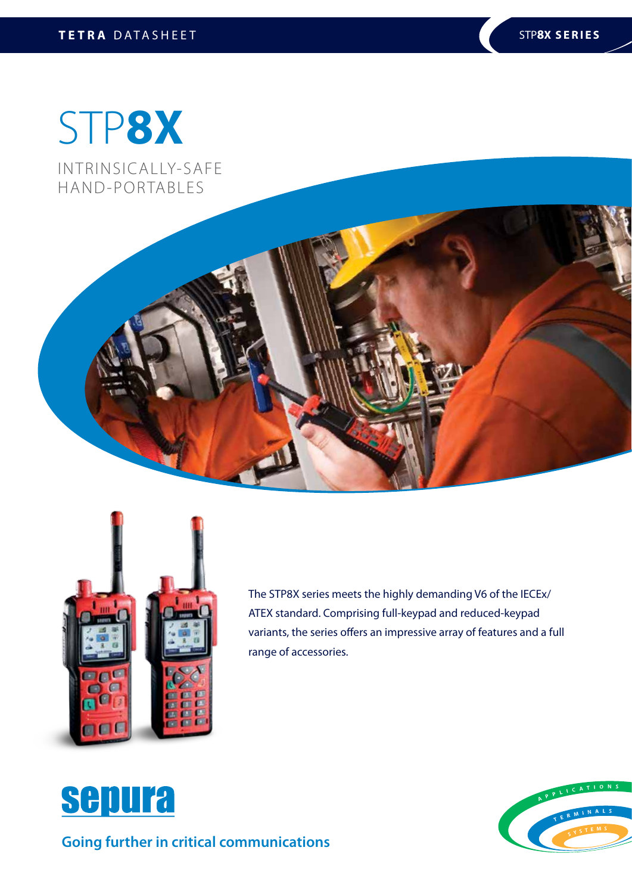# STP**8X**

INTRINSICALLY-SAFE HAND-PORTABLES





The STP8X series meets the highly demanding V6 of the IECEx/ ATEX standard. Comprising full-keypad and reduced-keypad variants, the series offers an impressive array of features and a full range of accessories.



**Going further in critical communications**

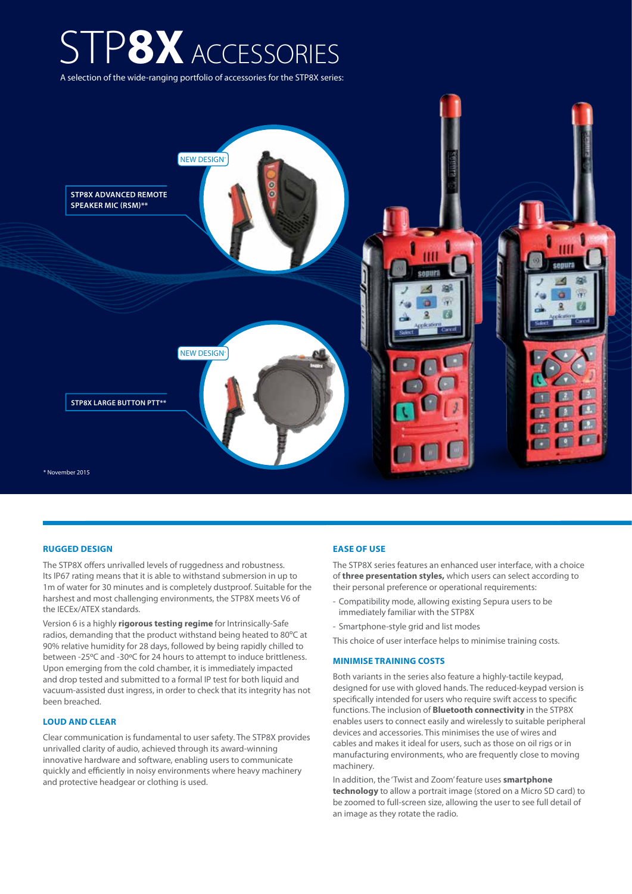## STP**8X** ACCESSORIES

A selection of the wide-ranging portfolio of accessories for the STP8X series:



#### **RUGGED DESIGN**

The STP8X offers unrivalled levels of ruggedness and robustness. Its IP67 rating means that it is able to withstand submersion in up to 1m of water for 30 minutes and is completely dustproof. Suitable for the harshest and most challenging environments, the STP8X meets V6 of the IECEx/ATEX standards.

Version 6 is a highly **rigorous testing regime** for Intrinsically-Safe radios, demanding that the product withstand being heated to 80ºC at 90% relative humidity for 28 days, followed by being rapidly chilled to between -25ºC and -30ºC for 24 hours to attempt to induce brittleness. Upon emerging from the cold chamber, it is immediately impacted and drop tested and submitted to a formal IP test for both liquid and vacuum-assisted dust ingress, in order to check that its integrity has not been breached.

#### **LOUD AND CLEAR**

Clear communication is fundamental to user safety. The STP8X provides unrivalled clarity of audio, achieved through its award-winning innovative hardware and software, enabling users to communicate quickly and efficiently in noisy environments where heavy machinery and protective headgear or clothing is used.

#### **EASE OF USE**

The STP8X series features an enhanced user interface, with a choice of **three presentation styles,** which users can select according to their personal preference or operational requirements:

- Compatibility mode, allowing existing Sepura users to be immediately familiar with the STP8X
- Smartphone-style grid and list modes

This choice of user interface helps to minimise training costs.

#### **MINIMISE TRAINING COSTS**

Both variants in the series also feature a highly-tactile keypad, designed for use with gloved hands. The reduced-keypad version is specifically intended for users who require swift access to specific functions. The inclusion of **Bluetooth connectivity** in the STP8X enables users to connect easily and wirelessly to suitable peripheral devices and accessories. This minimises the use of wires and cables and makes it ideal for users, such as those on oil rigs or in manufacturing environments, who are frequently close to moving machinery.

In addition, the 'Twist and Zoom' feature uses **smartphone technology** to allow a portrait image (stored on a Micro SD card) to be zoomed to full-screen size, allowing the user to see full detail of an image as they rotate the radio.